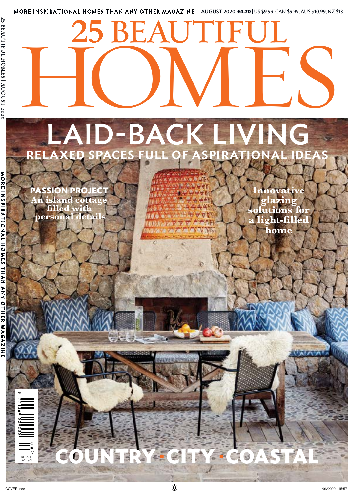#### **MORE INSPIRATIONAL HOMES THAN ANY OTHER MAGAZINE** AUGUST 2020 £4.70 | US \$9.99, CAN \$9.99, AUS \$10.99, NZ \$13

25 BEAUT

25

# **D SPACES FULL OF ASPIRATIONAL ID** LAID-BACK LIVING HOMES

**PASSION PROJECT An island cottage filled with personal details** 

**Innovative glazing solutions for a light-filled home**

MORE INSPIRATION INSPIRATIONAL HOMES THAN ANY ONES HOMES IN A ANY ONES HOMES IN A SAME ANY ONES HOMES INSPIRATION NORE **INSPIRATIO** HOM 53 Ŧ ∑<br>N d

**AGAZINE** 

RECALL 06 /08 /20

**CITY** 

■

**COASTAL**

■

**COUNTRY**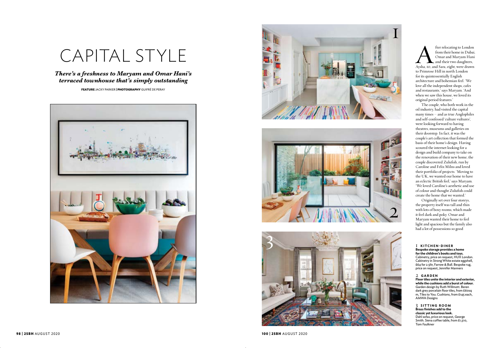## CAPITAL STYLE

*There's a freshness to Maryam and Omar Hani's terraced townhouse that's simply outstanding* 

**FEATURE** JACKY PARKER **| PHOTOGRAPHY** GUIFRÉ DE PERAY



**Alternative Condon**<br>
from their home in Dubai,<br>
Omar and Maryam Hani<br>
and their two daughters,<br>
Aysha, 10, and Sara, eight, were drawn from their home in Dubai, Omar and Maryam Hani and their two daughters, to Primrose Hill in north London for its quintessentially English architecture and bohemian feel. 'We love all the independent shops, cafes and restaurants,' says Maryam. 'And when we saw this house, we loved its original period features.'

The couple, who both work in the oil industry, had visited the capital many times – and as true Anglophiles and self-confessed 'culture vultures', were looking forward to having theatres, museums and galleries on their doorstep. In fact, it was the couple's art collection that formed the basis of their home's design. Having scoured the internet looking for a design and build company to take on the renovation of their new home, the couple discovered Zulufish, run by Caroline and Felix Milns and loved their portfolio of projects. 'Moving to the UK, we wanted our home to have an eclectic British feel,' says Maryam. 'We loved Caroline's aesthetic and use of colour and thought Zulufish could create the home that we wanted.'

Originally set over four storeys, the property itself was tall and thin with lots of boxy rooms, which made it feel dark and poky. Omar and Maryam wanted their home to feel light and spacious but the family also had a lot of possessions so good







#### 1 **KITCHEN-DINER Bespoke storage provides a home for the children's books and toys.**  Cabinetry, price on request, HUX London. Cabinetry in Strong White estate eggshell, £64 for 2.5ltr, Farrow & Ball. Bespoke rug, price on request, Jennifer Manners

#### 2 **GARDEN**

**Floor tiles unite the interior and exterior, while the cushions add a burst of colour.**  Garden design by Ruth Willmott. Beren dark grey porcelain floor tiles, from £60sq m, Tiles to You. Cushions, from £145 each, AMWA Designs

3 **SITTING ROOM Brass finishes add to the classic yet luxurious look.** Dahl sofas, price on request, George Smith. Siena coffee table, from £1,510, Tom Faulkner

**100 | 25BH** AUGUST 2020